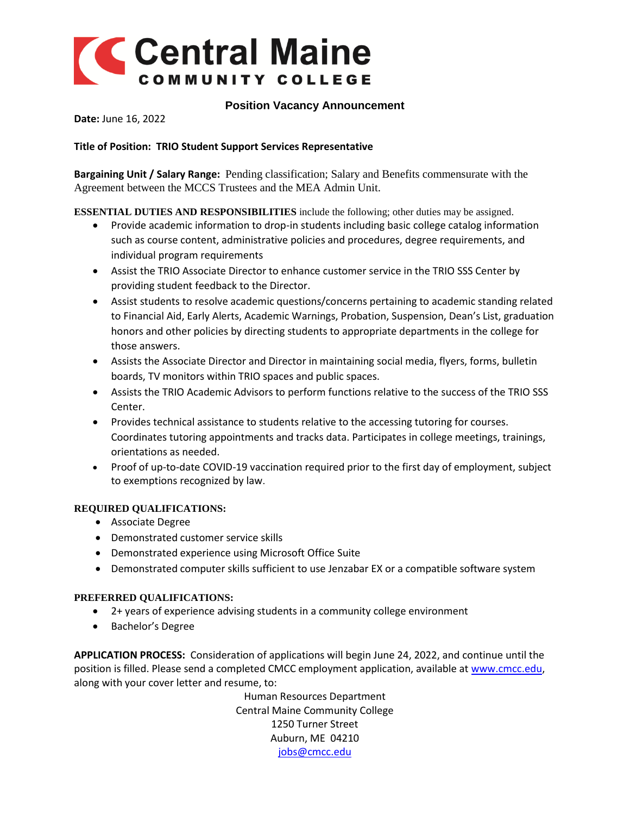

## **Position Vacancy Announcement**

**Date:** June 16, 2022

**Title of Position: TRIO Student Support Services Representative** 

**Bargaining Unit / Salary Range:** Pending classification; Salary and Benefits commensurate with the Agreement between the MCCS Trustees and the MEA Admin Unit.

**ESSENTIAL DUTIES AND RESPONSIBILITIES** include the following; other duties may be assigned.

- Provide academic information to drop-in students including basic college catalog information such as course content, administrative policies and procedures, degree requirements, and individual program requirements
- Assist the TRIO Associate Director to enhance customer service in the TRIO SSS Center by providing student feedback to the Director.
- Assist students to resolve academic questions/concerns pertaining to academic standing related to Financial Aid, Early Alerts, Academic Warnings, Probation, Suspension, Dean's List, graduation honors and other policies by directing students to appropriate departments in the college for those answers.
- Assists the Associate Director and Director in maintaining social media, flyers, forms, bulletin boards, TV monitors within TRIO spaces and public spaces.
- Assists the TRIO Academic Advisors to perform functions relative to the success of the TRIO SSS Center.
- Provides technical assistance to students relative to the accessing tutoring for courses. Coordinates tutoring appointments and tracks data. Participates in college meetings, trainings, orientations as needed.
- Proof of up-to-date COVID-19 vaccination required prior to the first day of employment, subject to exemptions recognized by law.

## **REQUIRED QUALIFICATIONS:**

- Associate Degree
- Demonstrated customer service skills
- Demonstrated experience using Microsoft Office Suite
- Demonstrated computer skills sufficient to use Jenzabar EX or a compatible software system

## **PREFERRED QUALIFICATIONS:**

- 2+ years of experience advising students in a community college environment
- Bachelor's Degree

**APPLICATION PROCESS:** Consideration of applications will begin June 24, 2022, and continue until the position is filled. Please send a completed CMCC employment application, available at [www.cmcc.edu,](http://www.cmcc.edu/) along with your cover letter and resume, to:

> Human Resources Department Central Maine Community College 1250 Turner Street Auburn, ME 04210 [jobs@cmcc.edu](mailto:jobs@cmcc.edu)